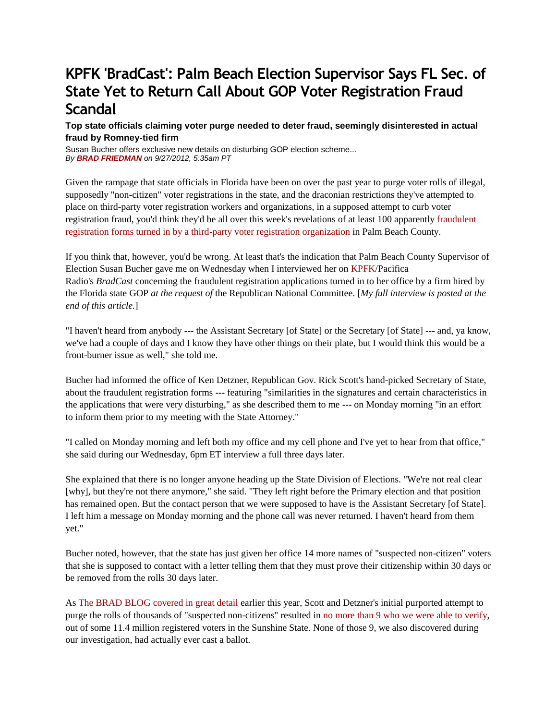## **[KPFK 'BradCast': Palm Beach Election Supervisor Says FL Sec. of](http://bradblog.com/?p=9590)  [State Yet to Return Call About GOP Voter Registration Fraud](http://bradblog.com/?p=9590)  [Scandal](http://bradblog.com/?p=9590)**

## **Top state officials claiming voter purge needed to deter fraud, seemingly disinterested in actual fraud by Romney-tied firm**

Susan Bucher offers exclusive new details on disturbing GOP election scheme... *By [BRAD FRIEDMAN](http://bradblog.com/?author=3) on 9/27/2012, 5:35am PT* 

Given the rampage that state officials in Florida have been on over the past year to purge voter rolls of illegal, supposedly "non-citizen" voter registrations in the state, and the draconian restrictions they've attempted to place on third-party voter registration workers and organizations, in a supposed attempt to curb voter registration fraud, you'd think they'd be all over this week's revelations of at least 100 apparently [fraudulent](http://www.bradblog.com/?p=9586)  [registration forms turned in by a third-party voter registration organization](http://www.bradblog.com/?p=9586) in Palm Beach County.

If you think that, however, you'd be wrong. At least that's the indication that Palm Beach County Supervisor of Election Susan Bucher gave me on Wednesday when I interviewed her on [KPFK/](http://kpfk.org/)Pacifica Radio's *BradCast* concerning the fraudulent registration applications turned in to her office by a firm hired by the Florida state GOP *at the request of* the Republican National Committee. [*My full interview is posted at the end of this article.*]

"I haven't heard from anybody --- the Assistant Secretary [of State] or the Secretary [of State] --- and, ya know, we've had a couple of days and I know they have other things on their plate, but I would think this would be a front-burner issue as well," she told me.

Bucher had informed the office of Ken Detzner, Republican Gov. Rick Scott's hand-picked Secretary of State, about the fraudulent registration forms --- featuring "similarities in the signatures and certain characteristics in the applications that were very disturbing," as she described them to me --- on Monday morning "in an effort to inform them prior to my meeting with the State Attorney."

"I called on Monday morning and left both my office and my cell phone and I've yet to hear from that office," she said during our Wednesday, 6pm ET interview a full three days later.

She explained that there is no longer anyone heading up the State Division of Elections. "We're not real clear [why], but they're not there anymore," she said. "They left right before the Primary election and that position has remained open. But the contact person that we were supposed to have is the Assistant Secretary [of State]. I left him a message on Monday morning and the phone call was never returned. I haven't heard from them yet."

Bucher noted, however, that the state has just given her office 14 more names of "suspected non-citizen" voters that she is supposed to contact with a letter telling them that they must prove their citizenship within 30 days or be removed from the rolls 30 days later.

As [The BRAD BLOG covered in great detail](http://www.google.com/url?sa=t&rct=j&q=&esrc=s&source=web&cd=10&cad=rja&ved=0CFgQFjAJ&url=http%3A%2F%2Fwww.bradblog.com%2F%3Fp%3D9372&ei=twVkUKr3CufyiQL1_YGwDw&usg=AFQjCNHppgPSvlSlovtwmNzlO6xEYQh4Mw&sig2=bN1zkvCOfdycIgkwyNYWxA) earlier this year, Scott and Detzner's initial purported attempt to purge the rolls of thousands of "suspected non-citizens" resulted in [no more than 9 who we were able to verify,](http://www.bradblog.com/?p=9412) out of some 11.4 million registered voters in the Sunshine State. None of those 9, we also discovered during our investigation, had actually ever cast a ballot.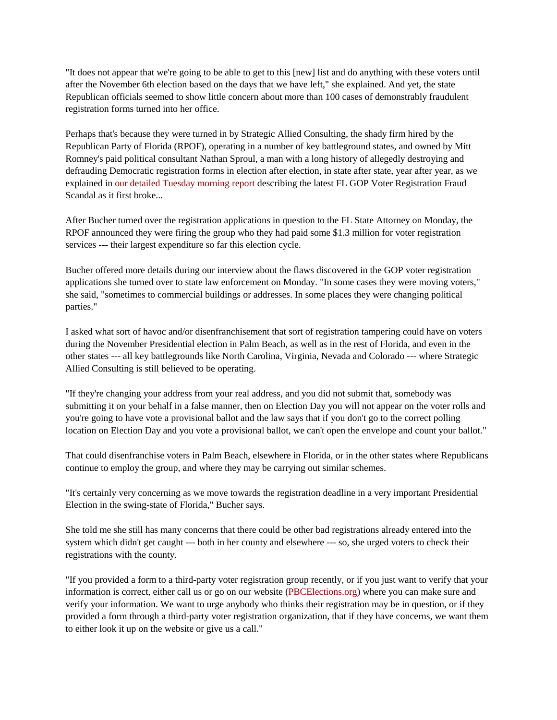"It does not appear that we're going to be able to get to this [new] list and do anything with these voters until after the November 6th election based on the days that we have left," she explained. And yet, the state Republican officials seemed to show little concern about more than 100 cases of demonstrably fraudulent registration forms turned into her office.

Perhaps that's because they were turned in by Strategic Allied Consulting, the shady firm hired by the Republican Party of Florida (RPOF), operating in a number of key battleground states, and owned by Mitt Romney's paid political consultant Nathan Sproul, a man with a long history of allegedly destroying and defrauding Democratic registration forms in election after election, in state after state, year after year, as we explained in [our detailed Tuesday morning report](http://www.bradblog.com/?p=9586) describing the latest FL GOP Voter Registration Fraud Scandal as it first broke...

After Bucher turned over the registration applications in question to the FL State Attorney on Monday, the RPOF announced they were firing the group who they had paid some \$1.3 million for voter registration services --- their largest expenditure so far this election cycle.

Bucher offered more details during our interview about the flaws discovered in the GOP voter registration applications she turned over to state law enforcement on Monday. "In some cases they were moving voters," she said, "sometimes to commercial buildings or addresses. In some places they were changing political parties."

I asked what sort of havoc and/or disenfranchisement that sort of registration tampering could have on voters during the November Presidential election in Palm Beach, as well as in the rest of Florida, and even in the other states --- all key battlegrounds like North Carolina, Virginia, Nevada and Colorado --- where Strategic Allied Consulting is still believed to be operating.

"If they're changing your address from your real address, and you did not submit that, somebody was submitting it on your behalf in a false manner, then on Election Day you will not appear on the voter rolls and you're going to have vote a provisional ballot and the law says that if you don't go to the correct polling location on Election Day and you vote a provisional ballot, we can't open the envelope and count your ballot."

That could disenfranchise voters in Palm Beach, elsewhere in Florida, or in the other states where Republicans continue to employ the group, and where they may be carrying out similar schemes.

"It's certainly very concerning as we move towards the registration deadline in a very important Presidential Election in the swing-state of Florida," Bucher says.

She told me she still has many concerns that there could be other bad registrations already entered into the system which didn't get caught --- both in her county and elsewhere --- so, she urged voters to check their registrations with the county.

"If you provided a form to a third-party voter registration group recently, or if you just want to verify that your information is correct, either call us or go on our website [\(PBCElections.org\)](http://pbcelections.org/) where you can make sure and verify your information. We want to urge anybody who thinks their registration may be in question, or if they provided a form through a third-party voter registration organization, that if they have concerns, we want them to either look it up on the website or give us a call."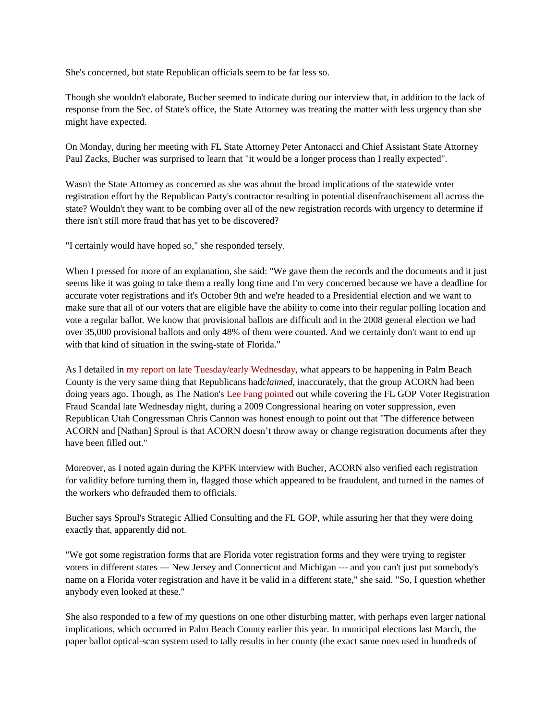She's concerned, but state Republican officials seem to be far less so.

Though she wouldn't elaborate, Bucher seemed to indicate during our interview that, in addition to the lack of response from the Sec. of State's office, the State Attorney was treating the matter with less urgency than she might have expected.

On Monday, during her meeting with FL State Attorney Peter Antonacci and Chief Assistant State Attorney Paul Zacks, Bucher was surprised to learn that "it would be a longer process than I really expected".

Wasn't the State Attorney as concerned as she was about the broad implications of the statewide voter registration effort by the Republican Party's contractor resulting in potential disenfranchisement all across the state? Wouldn't they want to be combing over all of the new registration records with urgency to determine if there isn't still more fraud that has yet to be discovered?

"I certainly would have hoped so," she responded tersely.

When I pressed for more of an explanation, she said: "We gave them the records and the documents and it just seems like it was going to take them a really long time and I'm very concerned because we have a deadline for accurate voter registrations and it's October 9th and we're headed to a Presidential election and we want to make sure that all of our voters that are eligible have the ability to come into their regular polling location and vote a regular ballot. We know that provisional ballots are difficult and in the 2008 general election we had over 35,000 provisional ballots and only 48% of them were counted. And we certainly don't want to end up with that kind of situation in the swing-state of Florida."

As I detailed in [my report on late Tuesday/early Wednesday,](http://www.bradblog.com/?p=9586) what appears to be happening in Palm Beach County is the very same thing that Republicans had*claimed*, inaccurately, that the group ACORN had been doing years ago. Though, as The Nation's [Lee Fang pointed](http://www.thenation.com/blog/170198/gop-quietly-hires-firm-tied-voter-fraud-scandal-work-battleground-states) out while covering the FL GOP Voter Registration Fraud Scandal late Wednesday night, during a 2009 Congressional hearing on voter suppression, even Republican Utah Congressman Chris Cannon was honest enough to point out that "The difference between ACORN and [Nathan] Sproul is that ACORN doesn't throw away or change registration documents after they have been filled out."

Moreover, as I noted again during the KPFK interview with Bucher, ACORN also verified each registration for validity before turning them in, flagged those which appeared to be fraudulent, and turned in the names of the workers who defrauded them to officials.

Bucher says Sproul's Strategic Allied Consulting and the FL GOP, while assuring her that they were doing exactly that, apparently did not.

"We got some registration forms that are Florida voter registration forms and they were trying to register voters in different states --- New Jersey and Connecticut and Michigan --- and you can't just put somebody's name on a Florida voter registration and have it be valid in a different state," she said. "So, I question whether anybody even looked at these."

She also responded to a few of my questions on one other disturbing matter, with perhaps even larger national implications, which occurred in Palm Beach County earlier this year. In municipal elections last March, the paper ballot optical-scan system used to tally results in her county (the exact same ones used in hundreds of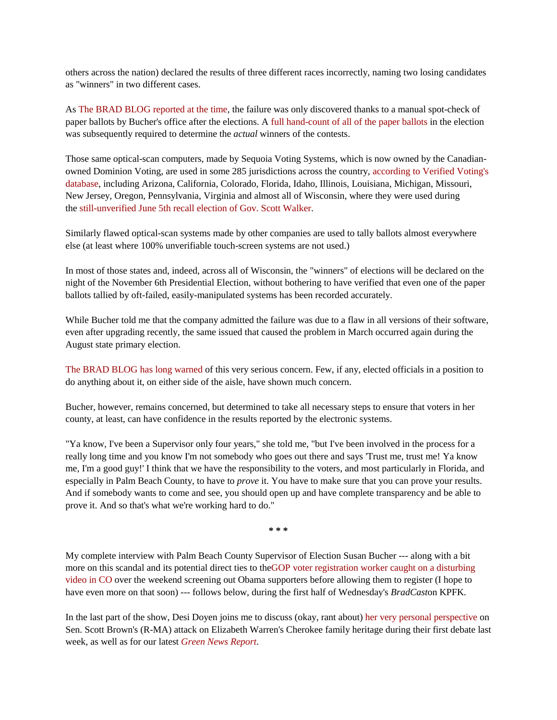others across the nation) declared the results of three different races incorrectly, naming two losing candidates as "winners" in two different cases.

As [The BRAD BLOG reported at the time,](http://www.bradblog.com/?p=9221) the failure was only discovered thanks to a manual spot-check of paper ballots by Bucher's office after the elections. A [full hand-count of all of the paper ballots](http://www.bradblog.com/?p=9224) in the election was subsequently required to determine the *actual* winners of the contests.

Those same optical-scan computers, made by Sequoia Voting Systems, which is now owned by the Canadianowned Dominion Voting, are used in some 285 jurisdictions across the country, [according to Verified Voting's](http://verifiedvoting.org/verifier/searched.php?ec=allall&state=AS&equipment_type%5b%5d=All+Types&vendor%5b%5d=Sequoia+Voting+Systems&model%5b%5d=All+Models&vvpat=all&submit=Search&rowspp=20000&topicText=&stateText=)  [database,](http://verifiedvoting.org/verifier/searched.php?ec=allall&state=AS&equipment_type%5b%5d=All+Types&vendor%5b%5d=Sequoia+Voting+Systems&model%5b%5d=All+Models&vvpat=all&submit=Search&rowspp=20000&topicText=&stateText=) including Arizona, California, Colorado, Florida, Idaho, Illinois, Louisiana, Michigan, Missouri, New Jersey, Oregon, Pennsylvania, Virginia and almost all of Wisconsin, where they were used during the [still-unverified June 5th recall election of Gov. Scott Walker.](http://www.bradblog.com/?p=9332)

Similarly flawed optical-scan systems made by other companies are used to tally ballots almost everywhere else (at least where 100% unverifiable touch-screen systems are not used.)

In most of those states and, indeed, across all of Wisconsin, the "winners" of elections will be declared on the night of the November 6th Presidential Election, without bothering to have verified that even one of the paper ballots tallied by oft-failed, easily-manipulated systems has been recorded accurately.

While Bucher told me that the company admitted the failure was due to a flaw in all versions of their software, even after upgrading recently, the same issued that caused the problem in March occurred again during the August state primary election.

[The BRAD BLOG has long warned](http://www.bradblog.com/?p=7417) of this very serious concern. Few, if any, elected officials in a position to do anything about it, on either side of the aisle, have shown much concern.

Bucher, however, remains concerned, but determined to take all necessary steps to ensure that voters in her county, at least, can have confidence in the results reported by the electronic systems.

"Ya know, I've been a Supervisor only four years," she told me, "but I've been involved in the process for a really long time and you know I'm not somebody who goes out there and says 'Trust me, trust me! Ya know me, I'm a good guy!' I think that we have the responsibility to the voters, and most particularly in Florida, and especially in Palm Beach County, to have to *prove* it. You have to make sure that you can prove your results. And if somebody wants to come and see, you should open up and have complete transparency and be able to prove it. And so that's what we're working hard to do."

**\* \* \***

My complete interview with Palm Beach County Supervisor of Election Susan Bucher --- along with a bit more on this scandal and its potential direct ties to th[eGOP voter registration worker caught on a disturbing](http://www.bradblog.com/?p=9583)  [video in CO](http://www.bradblog.com/?p=9583) over the weekend screening out Obama supporters before allowing them to register (I hope to have even more on that soon) --- follows below, during the first half of Wednesday's *BradCast*on KPFK.

In the last part of the show, Desi Doyen joins me to discuss (okay, rant about) [her very personal perspective](http://www.bradblog.com/?p=9576) on Sen. Scott Brown's (R-MA) attack on Elizabeth Warren's Cherokee family heritage during their first debate last week, as well as for our latest *[Green News Report](http://greennews.bradblog.com/)*.